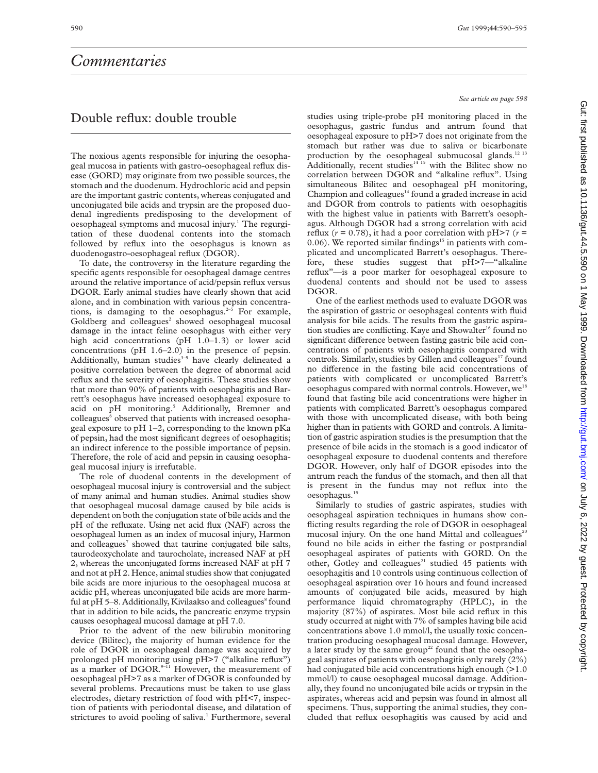## *Commentaries*

## Double reflux: double trouble

The noxious agents responsible for injuring the oesophageal mucosa in patients with gastro-oesophageal reflux disease (GORD) may originate from two possible sources, the stomach and the duodenum. Hydrochloric acid and pepsin are the important gastric contents, whereas conjugated and unconjugated bile acids and trypsin are the proposed duodenal ingredients predisposing to the development of oesophageal symptoms and mucosal injury.1 The regurgitation of these duodenal contents into the stomach followed by reflux into the oesophagus is known as duodenogastro-oesophageal reflux (DGOR).

To date, the controversy in the literature regarding the specific agents responsible for oesophageal damage centres around the relative importance of acid/pepsin reflux versus DGOR. Early animal studies have clearly shown that acid alone, and in combination with various pepsin concentrations, is damaging to the oesophagus. $2-5$  For example, Goldberg and colleagues<sup>2</sup> showed oesophageal mucosal damage in the intact feline oesophagus with either very high acid concentrations (pH 1.0–1.3) or lower acid concentrations (pH 1.6–2.0) in the presence of pepsin. Additionally, human studies<sup>3-5</sup> have clearly delineated a positive correlation between the degree of abnormal acid reflux and the severity of oesophagitis. These studies show that more than 90% of patients with oesophagitis and Barrett's oesophagus have increased oesophageal exposure to acid on pH monitoring.<sup>5</sup> Additionally, Bremner and colleagues<sup>6</sup> observed that patients with increased oesophageal exposure to pH 1–2, corresponding to the known pKa of pepsin, had the most significant degrees of oesophagitis; an indirect inference to the possible importance of pepsin. Therefore, the role of acid and pepsin in causing oesophageal mucosal injury is irrefutable.

The role of duodenal contents in the development of oesophageal mucosal injury is controversial and the subject of many animal and human studies. Animal studies show that oesophageal mucosal damage caused by bile acids is dependent on both the conjugation state of bile acids and the pH of the refluxate. Using net acid flux (NAF) across the oesophageal lumen as an index of mucosal injury, Harmon and colleagues<sup>7</sup> showed that taurine conjugated bile salts, taurodeoxycholate and taurocholate, increased NAF at pH 2, whereas the unconjugated forms increased NAF at pH 7 and not at pH 2. Hence, animal studies show that conjugated bile acids are more injurious to the oesophageal mucosa at acidic pH, whereas unconjugated bile acids are more harmful at  $pH$  5–8. Additionally, Kivilaakso and colleagues<sup>8</sup> found that in addition to bile acids, the pancreatic enzyme trypsin causes oesophageal mucosal damage at pH 7.0.

Prior to the advent of the new bilirubin monitoring device (Bilitec), the majority of human evidence for the role of DGOR in oesophageal damage was acquired by prolonged pH monitoring using pH>7 ("alkaline reflux") as a marker of DGOR.<sup>9–11</sup> However, the measurement of oesophageal pH>7 as a marker of DGOR is confounded by several problems. Precautions must be taken to use glass electrodes, dietary restriction of food with pH<7, inspection of patients with periodontal disease, and dilatation of strictures to avoid pooling of saliva.<sup>1</sup> Furthermore, several

*See article on page 598*

studies using triple-probe pH monitoring placed in the oesophagus, gastric fundus and antrum found that oesophageal exposure to pH>7 does not originate from the stomach but rather was due to saliva or bicarbonate production by the oesophageal submucosal glands.<sup>12 13</sup> Additionally, recent studies<sup>14 15</sup> with the Bilitec show no correlation between DGOR and "alkaline reflux". Using simultaneous Bilitec and oesophageal pH monitoring, Champion and colleagues $14$  found a graded increase in acid and DGOR from controls to patients with oesophagitis with the highest value in patients with Barrett's oesophagus. Although DGOR had a strong correlation with acid reflux ( $r = 0.78$ ), it had a poor correlation with  $pH > 7$  ( $r =$ 0.06). We reported similar findings<sup>15</sup> in patients with complicated and uncomplicated Barrett's oesophagus. Therefore, these studies suggest that pH>7—"alkaline reflux"—is a poor marker for oesophageal exposure to duodenal contents and should not be used to assess DGOR.

One of the earliest methods used to evaluate DGOR was the aspiration of gastric or oesophageal contents with fluid analysis for bile acids. The results from the gastric aspiration studies are conflicting. Kaye and Showalter<sup>16</sup> found no significant difference between fasting gastric bile acid concentrations of patients with oesophagitis compared with controls. Similarly, studies by Gillen and colleagues<sup>17</sup> found no difference in the fasting bile acid concentrations of patients with complicated or uncomplicated Barrett's oesophagus compared with normal controls. However, we<sup>18</sup> found that fasting bile acid concentrations were higher in patients with complicated Barrett's oesophagus compared with those with uncomplicated disease, with both being higher than in patients with GORD and controls. A limitation of gastric aspiration studies is the presumption that the presence of bile acids in the stomach is a good indicator of oesophageal exposure to duodenal contents and therefore DGOR. However, only half of DGOR episodes into the antrum reach the fundus of the stomach, and then all that is present in the fundus may not reflux into the oesophagus.19

Similarly to studies of gastric aspirates, studies with oesophageal aspiration techniques in humans show conflicting results regarding the role of DGOR in oesophageal mucosal injury. On the one hand Mittal and colleagues<sup>20</sup> found no bile acids in either the fasting or postprandial oesophageal aspirates of patients with GORD. On the other, Gotley and colleagues<sup>21</sup> studied 45 patients with oesophagitis and 10 controls using continuous collection of oesophageal aspiration over 16 hours and found increased amounts of conjugated bile acids, measured by high performance liquid chromatography (HPLC), in the majority (87%) of aspirates. Most bile acid reflux in this study occurred at night with 7% of samples having bile acid concentrations above 1.0 mmol/l, the usually toxic concentration producing oesophageal mucosal damage. However, a later study by the same group<sup>22</sup> found that the oesophageal aspirates of patients with oesophagitis only rarely (2%) had conjugated bile acid concentrations high enough (>1.0 mmol/l) to cause oesophageal mucosal damage. Additionally, they found no unconjugated bile acids or trypsin in the aspirates, whereas acid and pepsin was found in almost all specimens. Thus, supporting the animal studies, they concluded that reflux oesophagitis was caused by acid and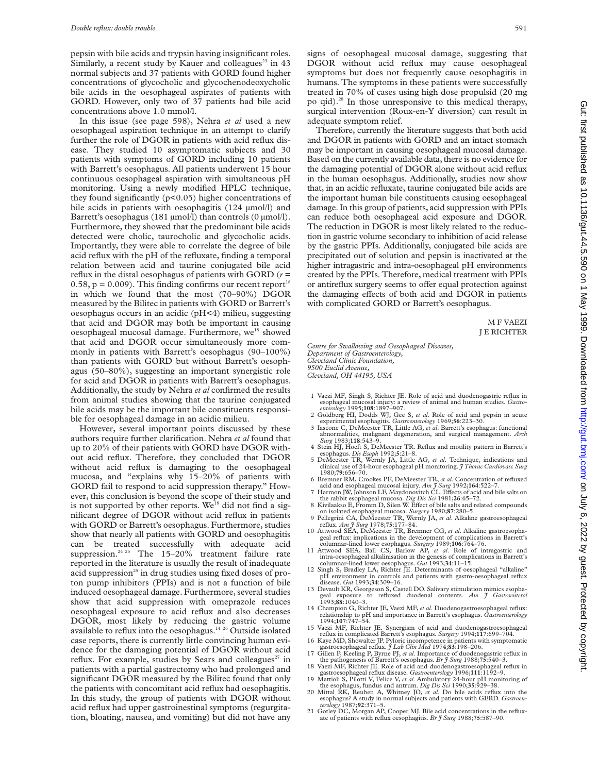pepsin with bile acids and trypsin having insignificant roles. Similarly, a recent study by Kauer and colleagues<sup>23</sup> in  $43$ normal subjects and 37 patients with GORD found higher concentrations of glycocholic and glycochenodeoxycholic bile acids in the oesophageal aspirates of patients with GORD. However, only two of 37 patients had bile acid concentrations above 1.0 mmol/l.

In this issue (see page 598), Nehra *et al* used a new oesophageal aspiration technique in an attempt to clarify further the role of DGOR in patients with acid reflux disease. They studied 10 asymptomatic subjects and 30 patients with symptoms of GORD including 10 patients with Barrett's oesophagus. All patients underwent 15 hour continuous oesophageal aspiration with simultaneous pH monitoring. Using a newly modified HPLC technique, they found significantly (p<0.05) higher concentrations of bile acids in patients with oesophagitis (124 µmol/l) and Barrett's oesophagus (181 µmol/l) than controls (0 µmol/l). Furthermore, they showed that the predominant bile acids detected were cholic, taurocholic and glycocholic acids. Importantly, they were able to correlate the degree of bile acid reflux with the pH of the refluxate, finding a temporal relation between acid and taurine conjugated bile acid reflux in the distal oesophagus of patients with GORD (*r* = 0.58,  $p = 0.009$ ). This finding confirms our recent report<sup>18</sup> in which we found that the most (70–90%) DGOR measured by the Bilitec in patients with GORD or Barrett's oesophagus occurs in an acidic (pH<4) milieu, suggesting that acid and DGOR may both be important in causing oesophageal mucosal damage. Furthermore, we<sup>18</sup> showed that acid and DGOR occur simultaneously more commonly in patients with Barrett's oesophagus (90–100%) than patients with GORD but without Barrett's oesophagus (50–80%), suggesting an important synergistic role for acid and DGOR in patients with Barrett's oesophagus. Additionally, the study by Nehra *et al* confirmed the results from animal studies showing that the taurine conjugated bile acids may be the important bile constituents responsible for oesophageal damage in an acidic milieu.

However, several important points discussed by these authors require further clarification. Nehra *et al* found that up to 20% of their patients with GORD have DGOR without acid reflux. Therefore, they concluded that DGOR without acid reflux is damaging to the oesophageal mucosa, and "explains why 15–20% of patients with GORD fail to respond to acid suppression therapy." However, this conclusion is beyond the scope of their study and is not supported by other reports. We<sup>18</sup> did not find a significant degree of DGOR without acid reflux in patients with GORD or Barrett's oesophagus. Furthermore, studies show that nearly all patients with GORD and oesophagitis can be treated successfully with adequate acid suppression.<sup>24 25</sup> The  $15-20\%$  treatment failure rate reported in the literature is usually the result of inadequate acid suppression<sup>25</sup> in drug studies using fixed doses of proton pump inhibitors (PPIs) and is not a function of bile induced oesophageal damage. Furthermore, several studies show that acid suppression with omeprazole reduces oesophageal exposure to acid reflux and also decreases DGOR, most likely by reducing the gastric volume available to reflux into the oesophagus.14 26 Outside isolated case reports, there is currently little convincing human evidence for the damaging potential of DGOR without acid reflux. For example, studies by Sears and colleagues<sup>27</sup> in patients with a partial gastrectomy who had prolonged and significant DGOR measured by the Bilitec found that only the patients with concomitant acid reflux had oesophagitis. In this study, the group of patients with DGOR without acid reflux had upper gastroinestinal symptoms (regurgitation, bloating, nausea, and vomiting) but did not have any

signs of oesophageal mucosal damage, suggesting that DGOR without acid reflux may cause oesophageal symptoms but does not frequently cause oesophagitis in humans. The symptoms in these patients were successfully treated in 70% of cases using high dose propulsid (20 mg po qid).28 In those unresponsive to this medical therapy, surgical intervention (Roux-en-Y diversion) can result in adequate symptom relief.

Therefore, currently the literature suggests that both acid and DGOR in patients with GORD and an intact stomach may be important in causing oesophageal mucosal damage. Based on the currently available data, there is no evidence for the damaging potential of DGOR alone without acid reflux in the human oesophagus. Additionally, studies now show that, in an acidic refluxate, taurine conjugated bile acids are the important human bile constituents causing oesophageal damage. In this group of patients, acid suppression with PPIs can reduce both oesophageal acid exposure and DGOR. The reduction in DGOR is most likely related to the reduction in gastric volume secondary to inhibition of acid release by the gastric PPIs. Additionally, conjugated bile acids are precipitated out of solution and pepsin is inactivated at the higher intragastric and intra-oesophageal pH environments created by the PPIs. Therefore, medical treatment with PPIs or antireflux surgery seems to offer equal protection against the damaging effects of both acid and DGOR in patients with complicated GORD or Barrett's oesophagus.

> M F VAEZI J E RICHTER

*Centre for Swallowing and Oesophageal Diseases, Department of Gastroenterology, Cleveland Clinic Foundation, 9500 Euclid Avenue, Cleveland, OH 44195, USA*

- 1 Vaezi MF, Singh S, Richter JE. Role of acid and duodenogastric reflux in esophageal mucosal injury: a review of animal and human studies. *Gastro-*
- 2 Goldberg HI, Dodds WJ, Gee S, *et al*. Role of acid and pepsin in acute
- experimental esophagitis. *Gastroenterology* 1969;**56**:223–30. 3 Iascone C, DeMeester TR, Little AG, *et al*. Barrett's esophagus: functional abnormalities, malignant degeneration, and surgical management. *Arch Surg* 1983;**118**:543–9.
- 4 Stein HJ, Hoeft S, DeMeester TR. Reflux and motility pattern in Barrett's esophagus. *Dis Esoph* 1992;**5**:21–8. 5 DeMeester TR, Wernly JA, Little AG, *et al*. Technique, indications and
- clinical use of 24-hour esophageal pH monitoring. *J Thorac Cardiovasc Surg* 1980;**79**:656–70.
- 6 Bremner RM, Crookes PF, DeMeester TR, *et al*. Concentration of refluxed acid and esophageal mucosal injury. *Am J Surg* 1992;164:522–7.<br>7 Harmon JW, Johnson LF, Maydonovitch CL. Effects of acid and bile salts on
- the rabbit esophageal mucosa. *Dig Dis Sci* 1981;26:65–72.<br>8 Kivilaakso E, Fromm D, Silen W. Effect of bile salts and related compounds
- on isolated esophageal mucosa. *Surgery* 1980;**87**:280–5. 9 Pellegrini CA, DeMeester TR, Wernly JA, *et al*. Alkaline gastroesophageal
- reflux. *Am J Surg* 1978;**75**:177–84. 10 Attwood SEA, DeMeester TR, Bremner CG, *et al*. Alkaline gastroesopha-
- geal reflux: implications in the development of complications in Barrett's<br>clummar-lined lower esophagus. *Surgery* 1989;106:764-76.<br>11 Attwood SEA, Ball CS, Barlow AP, et al. Role of intragastric and<br>intra-oesophageal al
- pH environment in controls and patients with gastro-oesophageal reflux disease.  $Gut$  1993;34:309-16.
- disease. *Gut* 1993;**34**:309–16.<br>
13 Devault KR, Georgeson S, Castell DO. Salivary stimulation mimics esopha-<br>
geal exposure to refluxed duodenal contents. *Am J Gastroenterol*<br>
1993;**88**:1040–3.
- 14 Champion G, Richter JE, Vaezi MF, *et al*. Duodenogastroesophageal reflux: relationship to pH and importance in Barrett's esophagus. *Gastroenterology* 1994;**107**:747–54.
- 15 Vaezi MF, Richter JE. Synergism of acid and duodenogastroesophageal reflux in complicated Barrett's esophagus. *Surgery* 1994;**117**:699–704.
- 16 Kaye MD, Showalter JP. Pyloric incompetence in patients with symptomatic gastroesophageal reflux. *J Lab Clin Med* 1974;**83**:198–206.
- 17 Gillen P, Keeling P, Byrne PJ, *et al*. Importance of duodenogastric reflux in the pathogenesis of Barrett's oesophagus. *Br J Surg* 1988;**75**:540–3.
- 18 Vaezi MF, Richter JE. Role of acid and duodenogastroesophageal reflux in gastroesophageal reflux disease. *Gastroenterology* 1996;**111**:1192–9. 19 Mattioli S, Pilotti V, Felice V, *et al*. Ambulatory 24-hour pH monitoring of
- the esophagus, fundus and antrum. *Dig Dis Sci* 1990;**35**:929–38. 20 Mittal RK, Reuben A, Whitney JO, *et al*. Do bile acids reflux into the esophagus? A study in normal subjects and patients with GERD. *Gastroen-*
- *terology* 1987;**92**:371–5. 21 Gotley DC, Morgan AP, Cooper MJ. Bile acid concentrations in the reflux-
- ate of patients with reflux oesophagitis. *Br J Surg* 1988;**75**:587–90.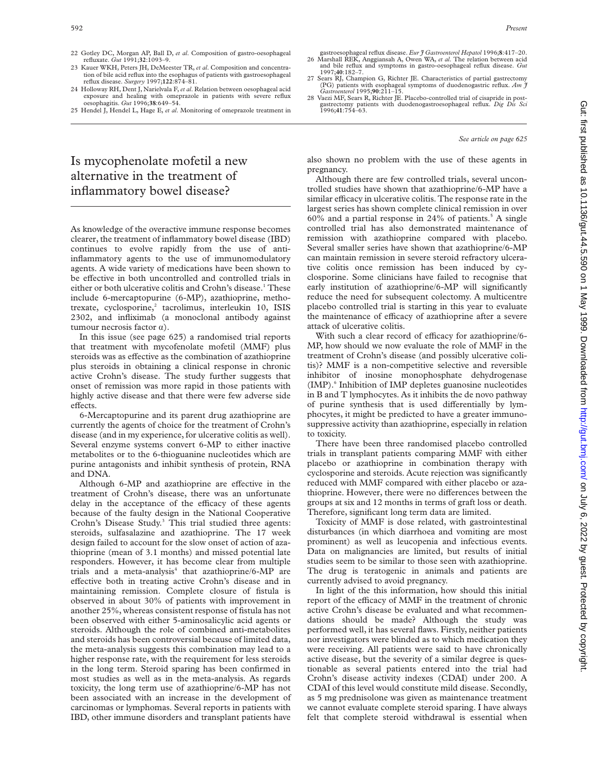- 22 Gotley DC, Morgan AP, Ball D, *et al*. Composition of gastro-oesophageal refluxate. *Gut* 1991;**32**:1093–9.
- 23 Kauer WKH, Peters JH, DeMeester TR, *et al*. Composition and concentration of bile acid reflux into the esophagus of patients with gastroesophageal reflux disease. *Surgery* 1997;**122**:874–81.
- 24 Holloway RH, Dent J, Narielvala F, *et al*. Relation between oesophageal acid exposure and healing with omeprazole in patients with severe reflux oesophagitis. *Gut* 1996;**38**:649–54.
- 25 Hendel J, Hendel L, Hage E, *et al*. Monitoring of omeprazole treatment in

# Is mycophenolate mofetil a new alternative in the treatment of inflammatory bowel disease?

As knowledge of the overactive immune response becomes clearer, the treatment of inflammatory bowel disease (IBD) continues to evolve rapidly from the use of antiinflammatory agents to the use of immunomodulatory agents. A wide variety of medications have been shown to be effective in both uncontrolled and controlled trials in either or both ulcerative colitis and Crohn's disease.<sup>1</sup> These include 6-mercaptopurine (6-MP), azathioprine, methotrexate, cyclosporine,<sup>2</sup> tacrolimus, interleukin 10, ISIS 2302, and infliximab (a monoclonal antibody against tumour necrosis factor  $\alpha$ ).

In this issue (see page 625) a randomised trial reports that treatment with mycofenolate mofetil (MMF) plus steroids was as effective as the combination of azathioprine plus steroids in obtaining a clinical response in chronic active Crohn's disease. The study further suggests that onset of remission was more rapid in those patients with highly active disease and that there were few adverse side effects.

6-Mercaptopurine and its parent drug azathioprine are currently the agents of choice for the treatment of Crohn's disease (and in my experience, for ulcerative colitis as well). Several enzyme systems convert 6-MP to either inactive metabolites or to the 6-thioguanine nucleotides which are purine antagonists and inhibit synthesis of protein, RNA and DNA.

Although 6-MP and azathioprine are effective in the treatment of Crohn's disease, there was an unfortunate delay in the acceptance of the efficacy of these agents because of the faulty design in the National Cooperative Crohn's Disease Study.3 This trial studied three agents: steroids, sulfasalazine and azathioprine. The 17 week design failed to account for the slow onset of action of azathioprine (mean of 3.1 months) and missed potential late responders. However, it has become clear from multiple trials and a meta-analysis<sup>4</sup> that azathioprine/6-MP are effective both in treating active Crohn's disease and in maintaining remission. Complete closure of fistula is observed in about 30% of patients with improvement in another 25%, whereas consistent response of fistula has not been observed with either 5-aminosalicylic acid agents or steroids. Although the role of combined anti-metabolites and steroids has been controversial because of limited data, the meta-analysis suggests this combination may lead to a higher response rate, with the requirement for less steroids in the long term. Steroid sparing has been confirmed in most studies as well as in the meta-analysis. As regards toxicity, the long term use of azathioprine/6-MP has not been associated with an increase in the development of carcinomas or lymphomas. Several reports in patients with IBD, other immune disorders and transplant patients have

gastroesophageal reflux disease. *Eur J Gastroenterol Hepatol* 1996;**8**:417–20. 26 Marshall REK, Anggiansah A, Owen WA, *et al*. The relation between acid and bile reflux and symptoms in gastro-oesophageal reflux disease. *Gut*

- 1997;**40**:182–7. 27 Sears RJ, Champion G, Richter JE. Characteristics of partial gastrectomy (PG) patients with esophageal symptoms of duodenogastric reflux. *Am J*
- *Gastroenterol* 1995;**90**:211–15. 28 Vaezi MF, Sears R, Richter JE. Placebo-controlled trial of cisapride in postgastrectomy patients with duodenogastroesophageal reflux. *Dig Dis Sci* 1996;**41**:754–63.

*See article on page 625*

also shown no problem with the use of these agents in pregnancy.

Although there are few controlled trials, several uncontrolled studies have shown that azathioprine/6-MP have a similar efficacy in ulcerative colitis. The response rate in the largest series has shown complete clinical remission in over 60% and a partial response in  $24%$  of patients.<sup>5</sup> A single controlled trial has also demonstrated maintenance of remission with azathioprine compared with placebo. Several smaller series have shown that azathioprine/6-MP can maintain remission in severe steroid refractory ulcerative colitis once remission has been induced by cyclosporine. Some clinicians have failed to recognise that early institution of azathioprine/6-MP will significantly reduce the need for subsequent colectomy. A multicentre placebo controlled trial is starting in this year to evaluate the maintenance of efficacy of azathioprine after a severe attack of ulcerative colitis.

With such a clear record of efficacy for azathioprine/6-MP, how should we now evaluate the role of MMF in the treatment of Crohn's disease (and possibly ulcerative colitis)? MMF is a non-competitive selective and reversible inhibitor of inosine monophosphate dehydrogenase (IMP).<sup>6</sup> Inhibition of IMP depletes guanosine nucleotides in B and T lymphocytes. As it inhibits the de novo pathway of purine synthesis that is used differentially by lymphocytes, it might be predicted to have a greater immunosuppressive activity than azathioprine, especially in relation to toxicity.

There have been three randomised placebo controlled trials in transplant patients comparing MMF with either placebo or azathioprine in combination therapy with cyclosporine and steroids. Acute rejection was significantly reduced with MMF compared with either placebo or azathioprine. However, there were no differences between the groups at six and 12 months in terms of graft loss or death. Therefore, significant long term data are limited.

Toxicity of MMF is dose related, with gastrointestinal disturbances (in which diarrhoea and vomiting are most prominent) as well as leucopenia and infectious events. Data on malignancies are limited, but results of initial studies seem to be similar to those seen with azathioprine. The drug is teratogenic in animals and patients are currently advised to avoid pregnancy.

In light of the this information, how should this initial report of the efficacy of MMF in the treatment of chronic active Crohn's disease be evaluated and what recommendations should be made? Although the study was performed well, it has several flaws. Firstly, neither patients nor investigators were blinded as to which medication they were receiving. All patients were said to have chronically active disease, but the severity of a similar degree is questionable as several patients entered into the trial had Crohn's disease activity indexes (CDAI) under 200. A CDAI of this level would constitute mild disease. Secondly, as 5 mg prednisolone was given as maintenance treatment we cannot evaluate complete steroid sparing. I have always felt that complete steroid withdrawal is essential when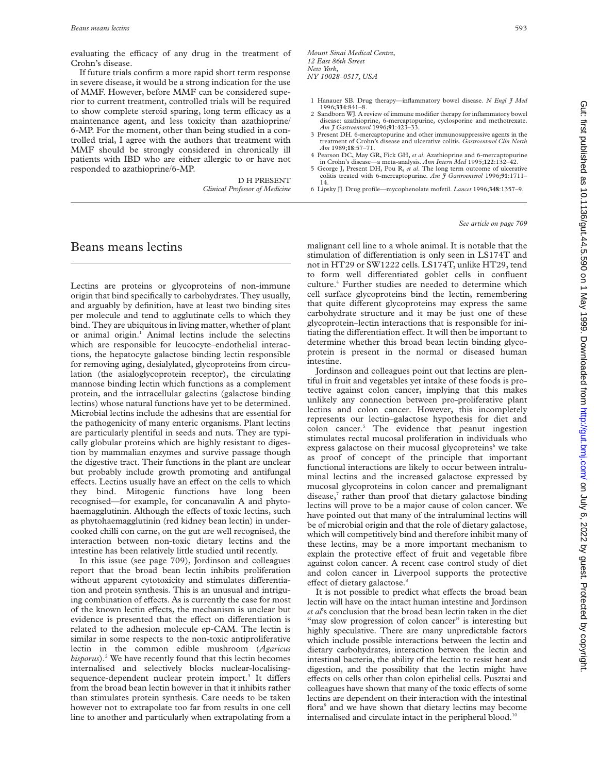evaluating the efficacy of any drug in the treatment of Crohn's disease.

If future trials confirm a more rapid short term response in severe disease, it would be a strong indication for the use of MMF. However, before MMF can be considered superior to current treatment, controlled trials will be required to show complete steroid sparing, long term efficacy as a maintenance agent, and less toxicity than azathioprine/ 6-MP. For the moment, other than being studied in a controlled trial, I agree with the authors that treatment with MMF should be strongly considered in chronically ill patients with IBD who are either allergic to or have not responded to azathioprine/6-MP.

> D H PRESENT *Clinical Professor of Medicine*

### Beans means lectins

Lectins are proteins or glycoproteins of non-immune origin that bind specifically to carbohydrates. They usually, and arguably by definition, have at least two binding sites per molecule and tend to agglutinate cells to which they bind. They are ubiquitous in living matter, whether of plant or animal origin.<sup>1</sup> Animal lectins include the selectins which are responsible for leucocyte–endothelial interactions, the hepatocyte galactose binding lectin responsible for removing aging, desialylated, glycoproteins from circulation (the asialoglycoprotein receptor), the circulating mannose binding lectin which functions as a complement protein, and the intracellular galectins (galactose binding lectins) whose natural functions have yet to be determined. Microbial lectins include the adhesins that are essential for the pathogenicity of many enteric organisms. Plant lectins are particularly plentiful in seeds and nuts. They are typically globular proteins which are highly resistant to digestion by mammalian enzymes and survive passage though the digestive tract. Their functions in the plant are unclear but probably include growth promoting and antifungal effects. Lectins usually have an effect on the cells to which they bind. Mitogenic functions have long been recognised—for example, for concanavalin A and phytohaemagglutinin. Although the effects of toxic lectins, such as phytohaemagglutinin (red kidney bean lectin) in undercooked chilli con carne, on the gut are well recognised, the interaction between non-toxic dietary lectins and the intestine has been relatively little studied until recently.

In this issue (see page 709), Jordinson and colleagues report that the broad bean lectin inhibits proliferation without apparent cytotoxicity and stimulates differentiation and protein synthesis. This is an unusual and intriguing combination of effects. As is currently the case for most of the known lectin effects, the mechanism is unclear but evidence is presented that the effect on differentiation is related to the adhesion molecule ep-CAM. The lectin is similar in some respects to the non-toxic antiproliferative lectin in the common edible mushroom (*Agaricus bisporus*).<sup>2</sup> We have recently found that this lectin becomes internalised and selectively blocks nuclear-localisingsequence-dependent nuclear protein import.<sup>3</sup> It differs from the broad bean lectin however in that it inhibits rather than stimulates protein synthesis. Care needs to be taken however not to extrapolate too far from results in one cell line to another and particularly when extrapolating from a

- 1 Hanauer SB. Drug therapy—inflammatory bowel disease. *N Engl J Med* 1996;**334**:841–8.
- 2 Sandborn WJ. A review of immune modifier therapy for inflammatory bowel disease: azathioprine, 6-mercaptopurine, cyclosporine and methotrexate. *Am J Gastroenterol* 1996;**91**:423–33.
- 3 Present DH. 6-mercaptopurine and other immunosuppressive agents in the treatment of Crohn's disease and ulcerative colitis. *Gastroenterol Clin North Am* 1989;**18**:57–71.
- 4 Pearson DC, May GR, Fick GH, *et al*. Azathioprine and 6-mercaptopurine in Crohn's disease—a meta-analysis. *Ann Intern Med* 1995;**122**:132–42. 5 George J, Present DH, Pou R, *et al*. The long term outcome of ulcerative
- colitis treated with 6-mercaptopurine. *Am J Gastroenterol* 1996;**91**:1711– 14.
- 6 Lipsky JJ. Drug profile—mycophenolate mofetil. *Lancet* 1996;**348**:1357–9.

### *See article on page 709*

malignant cell line to a whole animal. It is notable that the stimulation of differentiation is only seen in LS174T and not in HT29 or SW1222 cells. LS174T, unlike HT29, tend to form well differentiated goblet cells in confluent culture.4 Further studies are needed to determine which cell surface glycoproteins bind the lectin, remembering that quite different glycoproteins may express the same carbohydrate structure and it may be just one of these glycoprotein–lectin interactions that is responsible for initiating the differentiation effect. It will then be important to determine whether this broad bean lectin binding glycoprotein is present in the normal or diseased human intestine.

Jordinson and colleagues point out that lectins are plentiful in fruit and vegetables yet intake of these foods is protective against colon cancer, implying that this makes unlikely any connection between pro-proliferative plant lectins and colon cancer. However, this incompletely represents our lectin–galactose hypothesis for diet and colon cancer.5 The evidence that peanut ingestion stimulates rectal mucosal proliferation in individuals who express galactose on their mucosal glycoproteins $<sup>6</sup>$  we take</sup> as proof of concept of the principle that important functional interactions are likely to occur between intraluminal lectins and the increased galactose expressed by mucosal glycoproteins in colon cancer and premalignant disease, rather than proof that dietary galactose binding lectins will prove to be a major cause of colon cancer. We have pointed out that many of the intraluminal lectins will be of microbial origin and that the role of dietary galactose, which will competitively bind and therefore inhibit many of these lectins, may be a more important mechanism to explain the protective effect of fruit and vegetable fibre against colon cancer. A recent case control study of diet and colon cancer in Liverpool supports the protective effect of dietary galactose.<sup>8</sup>

It is not possible to predict what effects the broad bean lectin will have on the intact human intestine and Jordinson *et al*'s conclusion that the broad bean lectin taken in the diet "may slow progression of colon cancer" is interesting but highly speculative. There are many unpredictable factors which include possible interactions between the lectin and dietary carbohydrates, interaction between the lectin and intestinal bacteria, the ability of the lectin to resist heat and digestion, and the possibility that the lectin might have effects on cells other than colon epithelial cells. Pusztai and colleagues have shown that many of the toxic effects of some lectins are dependent on their interaction with the intestinal flora<sup>9</sup> and we have shown that dietary lectins may become internalised and circulate intact in the peripheral blood. $10$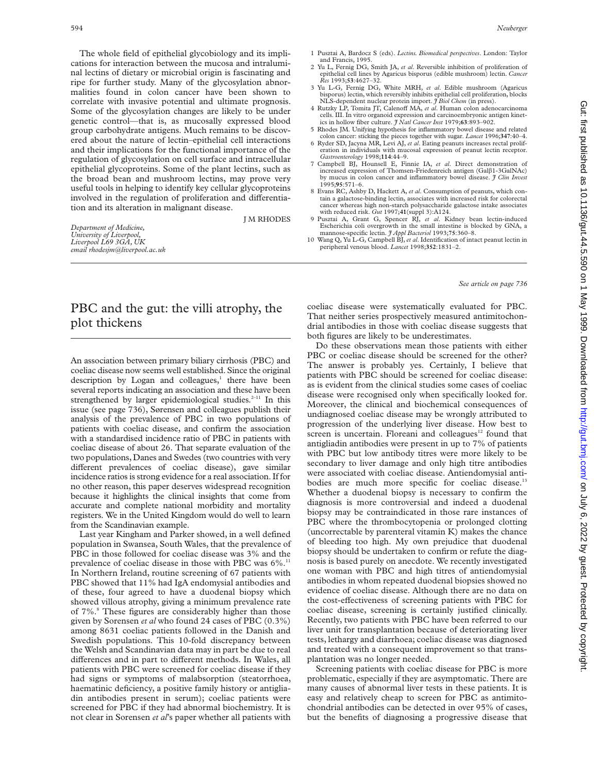The whole field of epithelial glycobiology and its implications for interaction between the mucosa and intraluminal lectins of dietary or microbial origin is fascinating and ripe for further study. Many of the glycosylation abnormalities found in colon cancer have been shown to correlate with invasive potential and ultimate prognosis. Some of the glycosylation changes are likely to be under genetic control—that is, as mucosally expressed blood group carbohydrate antigens. Much remains to be discovered about the nature of lectin–epithelial cell interactions and their implications for the functional importance of the regulation of glycosylation on cell surface and intracellular epithelial glycoproteins. Some of the plant lectins, such as the broad bean and mushroom lectins, may prove very useful tools in helping to identify key cellular glycoproteins involved in the regulation of proliferation and differentiation and its alteration in malignant disease.

J M RHODES

*Department of Medicine, University of Liverpool, Liverpool L69 3GA, UK email rhodesjm@liverpool.ac.uk*

# PBC and the gut: the villi atrophy, the plot thickens

An association between primary biliary cirrhosis (PBC) and coeliac disease now seems well established. Since the original description by Logan and colleagues, $<sup>1</sup>$  there have been</sup> several reports indicating an association and these have been strengthened by larger epidemiological studies.<sup>2–11</sup> In this issue (see page 736), Sørensen and colleagues publish their analysis of the prevalence of PBC in two populations of patients with coeliac disease, and confirm the association with a standardised incidence ratio of PBC in patients with coeliac disease of about 26. That separate evaluation of the two populations, Danes and Swedes (two countries with very different prevalences of coeliac disease), gave similar incidence ratios is strong evidence for a real association. If for no other reason, this paper deserves widespread recognition because it highlights the clinical insights that come from accurate and complete national morbidity and mortality registers. We in the United Kingdom would do well to learn from the Scandinavian example.

Last year Kingham and Parker showed, in a well defined population in Swansea, South Wales, that the prevalence of PBC in those followed for coeliac disease was 3% and the prevalence of coeliac disease in those with PBC was 6%.<sup>11</sup> In Northern Ireland, routine screening of 67 patients with PBC showed that 11% had IgA endomysial antibodies and of these, four agreed to have a duodenal biopsy which showed villous atrophy, giving a minimum prevalence rate of 7%.<sup>8</sup> These figures are considerably higher than those given by Sorensen *et al* who found 24 cases of PBC (0.3%) among 8631 coeliac patients followed in the Danish and Swedish populations. This 10-fold discrepancy between the Welsh and Scandinavian data may in part be due to real differences and in part to different methods. In Wales, all patients with PBC were screened for coeliac disease if they had signs or symptoms of malabsorption (steatorrhoea, haematinic deficiency, a positive family history or antigliadin antibodies present in serum); coeliac patients were screened for PBC if they had abnormal biochemistry. It is not clear in Sorensen *et al*'s paper whether all patients with

- 1 Pusztai A, Bardocz S (eds). *Lectins. Biomedical perspectives*. London: Taylor and Francis, 1995.
- 2 Yu L, Fernig DG, Smith JA, *et al*. Reversible inhibition of proliferation of epithelial cell lines by Agaricus bisporus (edible mushroom) lectin. *Cancer Res* 1993;**53**:4627–32.
- 3 Yu L-G, Fernig DG, White MRH, *et al*. Edible mushroom (Agaricus bisporus) lectin, which reversibly inhibits epithelial cell proliferation, blocks
- NLS-dependent nuclear protein import. *J Biol Chem* (in press).<br>4 Rutzky LP, Tomita JT, Calenoff MA, *et al.* Human colon adenocarcinoma cells. III. In vitro organoid expression and carcinoembryonic antigen kinetics in hollow fiber culture. *J Natl Cancer Inst* 1979;**63**:893–902.
- 5 Rhodes JM. Unifying hypothesis for inflammatory bowel disease and related colon cancer: sticking the pieces together with sugar. *Lancet* 1996;**347**:40–4.
- 6 Ryder SD, Jacyna MR, Levi AJ, *et al*. Eating peanuts increases rectal proliferation in individuals with mucosal expression of peanut lectin receptor. *Gastroenterology* 1998;**114**:44–9.
- 7 Campbell BJ, Hounsell E, Finnie IA, *et al*. Direct demonstration of increased expression of Thomsen-Friedenreich antigen (Galâ1-3GalNAc) by mucus in colon cancer and inflammatory bowel disease. *J Clin Invest* 1995;**95**:571–6.
- 8 Evans RC, Ashby D, Hackett A, *et al*. Consumption of peanuts, which contain a galactose-binding lectin, associates with increased risk for colorectal cancer whereas high non-starch polysaccharide galactose intake associates
- with reduced risk. *Gut* 1997;**41**(suppl 3):A124. 9 Pusztai A, Grant G, Spencer RJ, *et al*. Kidney bean lectin-induced Escherichia coli overgrowth in the small intestine is blocked by GNA, a mannose-specific lectin. *J Appl Bacteriol* 1993;**75**:360–8.
- 10 Wang Q, Yu L-G, Campbell BJ, *et al*. Identification of intact peanut lectin in peripheral venous blood. *Lancet* 1998;**352**:1831–2.

#### *See article on page 736*

coeliac disease were systematically evaluated for PBC. That neither series prospectively measured antimitochondrial antibodies in those with coeliac disease suggests that both figures are likely to be underestimates.

Do these observations mean those patients with either PBC or coeliac disease should be screened for the other? The answer is probably yes. Certainly, I believe that patients with PBC should be screened for coeliac disease: as is evident from the clinical studies some cases of coeliac disease were recognised only when specifically looked for. Moreover, the clinical and biochemical consequences of undiagnosed coeliac disease may be wrongly attributed to progression of the underlying liver disease. How best to screen is uncertain. Floreani and colleagues $12$  found that antigliadin antibodies were present in up to 7% of patients with PBC but low antibody titres were more likely to be secondary to liver damage and only high titre antibodies were associated with coeliac disease. Antiendomysial antibodies are much more specific for coeliac disease.<sup>13</sup> Whether a duodenal biopsy is necessary to confirm the diagnosis is more controversial and indeed a duodenal biopsy may be contraindicated in those rare instances of PBC where the thrombocytopenia or prolonged clotting (uncorrectable by parenteral vitamin K) makes the chance of bleeding too high. My own prejudice that duodenal biopsy should be undertaken to confirm or refute the diagnosis is based purely on anecdote. We recently investigated one woman with PBC and high titres of antiendomysial antibodies in whom repeated duodenal biopsies showed no evidence of coeliac disease. Although there are no data on the cost-effectiveness of screening patients with PBC for coeliac disease, screening is certainly justified clinically. Recently, two patients with PBC have been referred to our liver unit for transplantation because of deteriorating liver tests, lethargy and diarrhoea; coeliac disease was diagnosed and treated with a consequent improvement so that transplantation was no longer needed.

Screening patients with coeliac disease for PBC is more problematic, especially if they are asymptomatic. There are many causes of abnormal liver tests in these patients. It is easy and relatively cheap to screen for PBC as antimitochondrial antibodies can be detected in over 95% of cases, but the benefits of diagnosing a progressive disease that